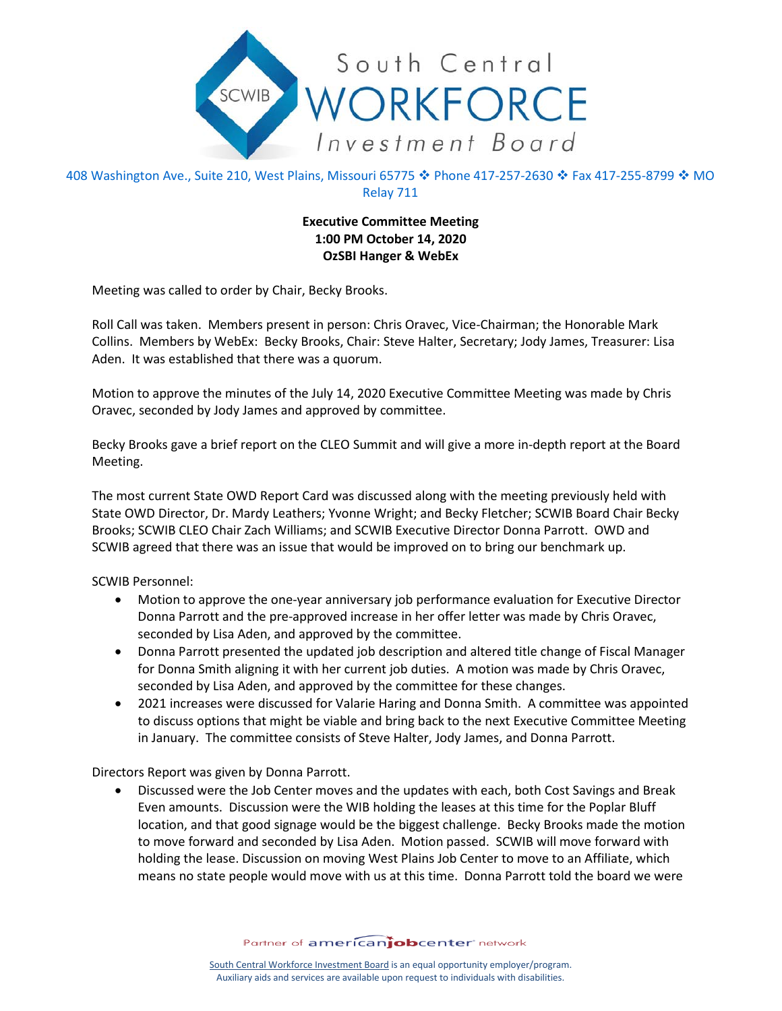

408 Washington Ave., Suite 210, West Plains, Missouri 65775 � Phone 417-257-2630 � Fax 417-255-8799 � MO Relay 711

## **Executive Committee Meeting 1:00 PM October 14, 2020 OzSBI Hanger & WebEx**

Meeting was called to order by Chair, Becky Brooks.

Roll Call was taken. Members present in person: Chris Oravec, Vice-Chairman; the Honorable Mark Collins. Members by WebEx: Becky Brooks, Chair: Steve Halter, Secretary; Jody James, Treasurer: Lisa Aden. It was established that there was a quorum.

Motion to approve the minutes of the July 14, 2020 Executive Committee Meeting was made by Chris Oravec, seconded by Jody James and approved by committee.

Becky Brooks gave a brief report on the CLEO Summit and will give a more in-depth report at the Board Meeting.

The most current State OWD Report Card was discussed along with the meeting previously held with State OWD Director, Dr. Mardy Leathers; Yvonne Wright; and Becky Fletcher; SCWIB Board Chair Becky Brooks; SCWIB CLEO Chair Zach Williams; and SCWIB Executive Director Donna Parrott. OWD and SCWIB agreed that there was an issue that would be improved on to bring our benchmark up.

SCWIB Personnel:

- Motion to approve the one-year anniversary job performance evaluation for Executive Director Donna Parrott and the pre-approved increase in her offer letter was made by Chris Oravec, seconded by Lisa Aden, and approved by the committee.
- Donna Parrott presented the updated job description and altered title change of Fiscal Manager for Donna Smith aligning it with her current job duties. A motion was made by Chris Oravec, seconded by Lisa Aden, and approved by the committee for these changes.
- 2021 increases were discussed for Valarie Haring and Donna Smith. A committee was appointed to discuss options that might be viable and bring back to the next Executive Committee Meeting in January. The committee consists of Steve Halter, Jody James, and Donna Parrott.

Directors Report was given by Donna Parrott.

• Discussed were the Job Center moves and the updates with each, both Cost Savings and Break Even amounts. Discussion were the WIB holding the leases at this time for the Poplar Bluff location, and that good signage would be the biggest challenge. Becky Brooks made the motion to move forward and seconded by Lisa Aden. Motion passed. SCWIB will move forward with holding the lease. Discussion on moving West Plains Job Center to move to an Affiliate, which means no state people would move with us at this time. Donna Parrott told the board we were

Partner of americanjobcenter network